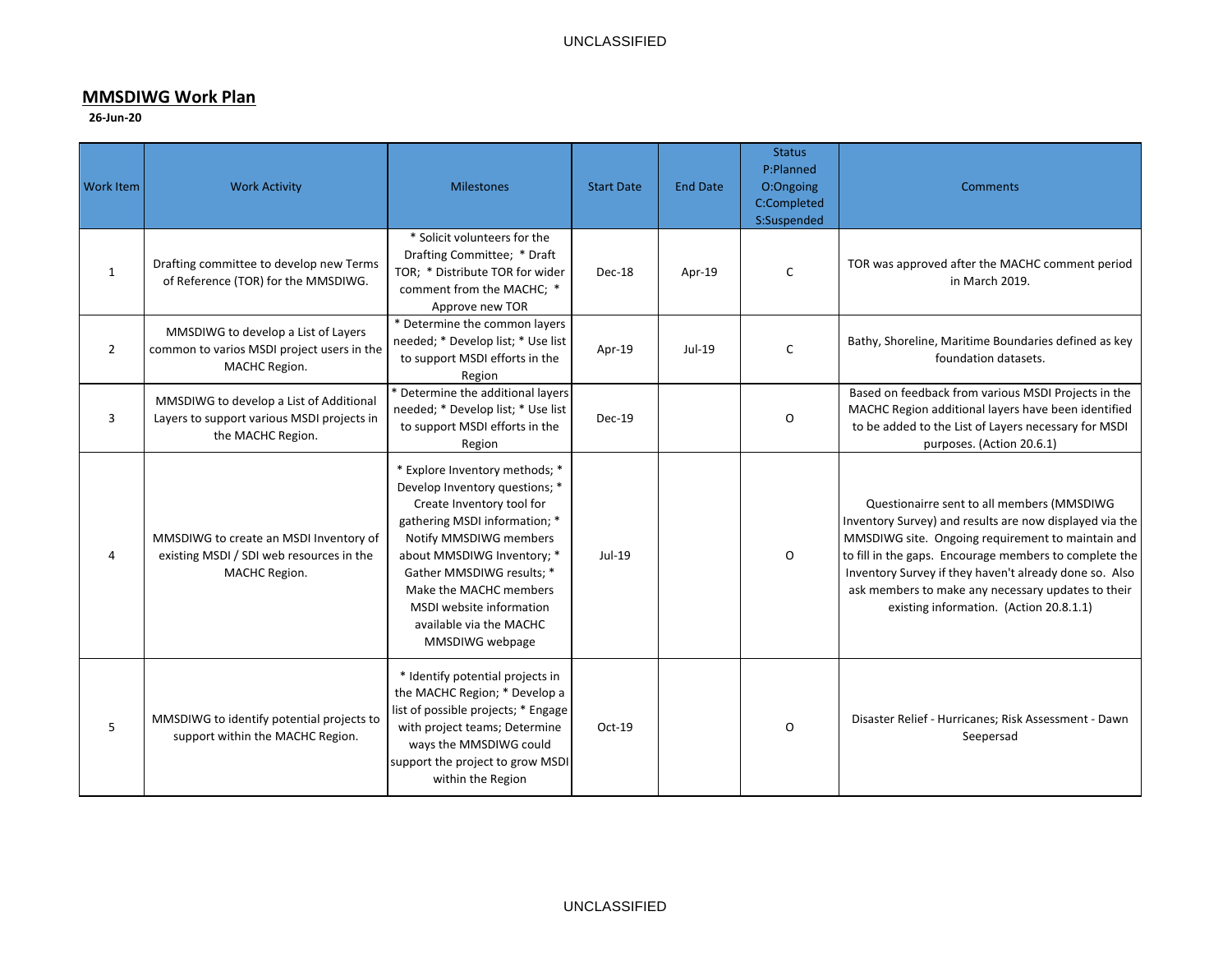## **MMSDIWG Work Plan**

## **26-Jun-20**

| <b>Work Item</b> | <b>Work Activity</b>                                                                                       | <b>Milestones</b>                                                                                                                                                                                                                                                                                                       | <b>Start Date</b> | <b>End Date</b> | <b>Status</b><br>P:Planned<br>O:Ongoing<br>C:Completed<br>S:Suspended | <b>Comments</b>                                                                                                                                                                                                                                                                                                                                                                 |
|------------------|------------------------------------------------------------------------------------------------------------|-------------------------------------------------------------------------------------------------------------------------------------------------------------------------------------------------------------------------------------------------------------------------------------------------------------------------|-------------------|-----------------|-----------------------------------------------------------------------|---------------------------------------------------------------------------------------------------------------------------------------------------------------------------------------------------------------------------------------------------------------------------------------------------------------------------------------------------------------------------------|
| $\mathbf{1}$     | Drafting committee to develop new Terms<br>of Reference (TOR) for the MMSDIWG.                             | * Solicit volunteers for the<br>Drafting Committee; * Draft<br>TOR; * Distribute TOR for wider<br>comment from the MACHC; *<br>Approve new TOR                                                                                                                                                                          | Dec-18            | Apr-19          | C                                                                     | TOR was approved after the MACHC comment period<br>in March 2019.                                                                                                                                                                                                                                                                                                               |
| $\overline{2}$   | MMSDIWG to develop a List of Layers<br>common to varios MSDI project users in the<br>MACHC Region.         | * Determine the common layers<br>needed; * Develop list; * Use list<br>to support MSDI efforts in the<br>Region                                                                                                                                                                                                         | Apr-19            | $Jul-19$        | C                                                                     | Bathy, Shoreline, Maritime Boundaries defined as key<br>foundation datasets.                                                                                                                                                                                                                                                                                                    |
| 3                | MMSDIWG to develop a List of Additional<br>Layers to support various MSDI projects in<br>the MACHC Region. | * Determine the additional layers<br>needed; * Develop list; * Use list<br>to support MSDI efforts in the<br>Region                                                                                                                                                                                                     | Dec-19            |                 | O                                                                     | Based on feedback from various MSDI Projects in the<br>MACHC Region additional layers have been identified<br>to be added to the List of Layers necessary for MSDI<br>purposes. (Action 20.6.1)                                                                                                                                                                                 |
| 4                | MMSDIWG to create an MSDI Inventory of<br>existing MSDI / SDI web resources in the<br>MACHC Region.        | * Explore Inventory methods; *<br>Develop Inventory questions; *<br>Create Inventory tool for<br>gathering MSDI information; *<br>Notify MMSDIWG members<br>about MMSDIWG Inventory; *<br>Gather MMSDIWG results; *<br>Make the MACHC members<br>MSDI website information<br>available via the MACHC<br>MMSDIWG webpage | Jul-19            |                 | 0                                                                     | Questionairre sent to all members (MMSDIWG<br>Inventory Survey) and results are now displayed via the<br>MMSDIWG site. Ongoing requirement to maintain and<br>to fill in the gaps. Encourage members to complete the<br>Inventory Survey if they haven't already done so. Also<br>ask members to make any necessary updates to their<br>existing information. (Action 20.8.1.1) |
| 5                | MMSDIWG to identify potential projects to<br>support within the MACHC Region.                              | * Identify potential projects in<br>the MACHC Region; * Develop a<br>list of possible projects; * Engage<br>with project teams; Determine<br>ways the MMSDIWG could<br>support the project to grow MSDI<br>within the Region                                                                                            | Oct-19            |                 | O                                                                     | Disaster Relief - Hurricanes; Risk Assessment - Dawn<br>Seepersad                                                                                                                                                                                                                                                                                                               |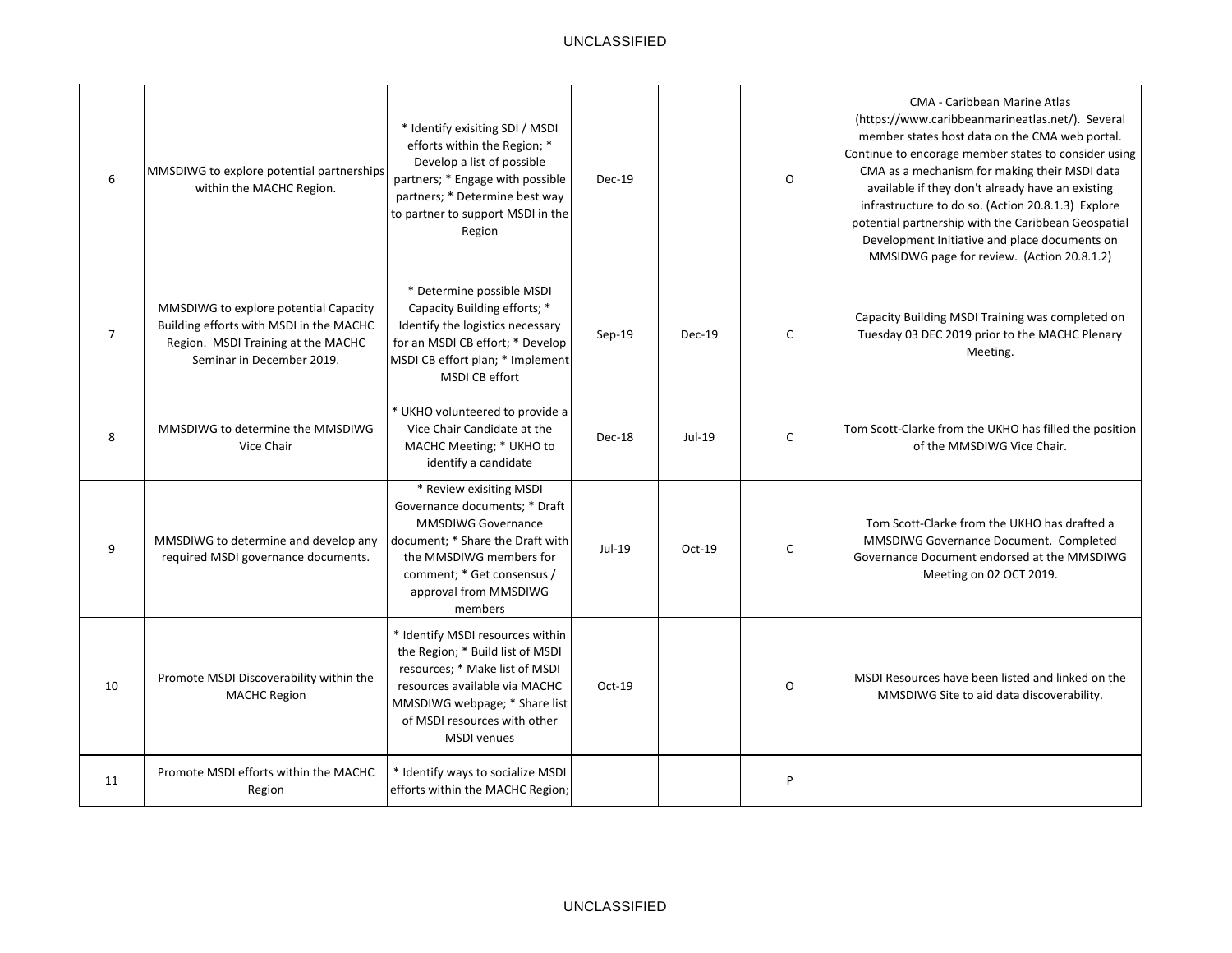| 6              | MMSDIWG to explore potential partnerships<br>within the MACHC Region.                                                                               | * Identify exisiting SDI / MSDI<br>efforts within the Region; *<br>Develop a list of possible<br>partners; * Engage with possible<br>partners; * Determine best way<br>to partner to support MSDI in the<br>Region             | $Dec-19$ |          | 0        | <b>CMA - Caribbean Marine Atlas</b><br>(https://www.caribbeanmarineatlas.net/). Several<br>member states host data on the CMA web portal.<br>Continue to encorage member states to consider using<br>CMA as a mechanism for making their MSDI data<br>available if they don't already have an existing<br>infrastructure to do so. (Action 20.8.1.3) Explore<br>potential partnership with the Caribbean Geospatial<br>Development Initiative and place documents on<br>MMSIDWG page for review. (Action 20.8.1.2) |
|----------------|-----------------------------------------------------------------------------------------------------------------------------------------------------|--------------------------------------------------------------------------------------------------------------------------------------------------------------------------------------------------------------------------------|----------|----------|----------|--------------------------------------------------------------------------------------------------------------------------------------------------------------------------------------------------------------------------------------------------------------------------------------------------------------------------------------------------------------------------------------------------------------------------------------------------------------------------------------------------------------------|
| $\overline{7}$ | MMSDIWG to explore potential Capacity<br>Building efforts with MSDI in the MACHC<br>Region. MSDI Training at the MACHC<br>Seminar in December 2019. | * Determine possible MSDI<br>Capacity Building efforts; *<br>Identify the logistics necessary<br>for an MSDI CB effort; * Develop<br>MSDI CB effort plan; * Implement<br>MSDI CB effort                                        | $Sep-19$ | Dec-19   | C        | Capacity Building MSDI Training was completed on<br>Tuesday 03 DEC 2019 prior to the MACHC Plenary<br>Meeting.                                                                                                                                                                                                                                                                                                                                                                                                     |
| 8              | MMSDIWG to determine the MMSDIWG<br>Vice Chair                                                                                                      | * UKHO volunteered to provide a<br>Vice Chair Candidate at the<br>MACHC Meeting; * UKHO to<br>identify a candidate                                                                                                             | Dec-18   | Jul-19   | C        | Tom Scott-Clarke from the UKHO has filled the position<br>of the MMSDIWG Vice Chair.                                                                                                                                                                                                                                                                                                                                                                                                                               |
| 9              | MMSDIWG to determine and develop any<br>required MSDI governance documents.                                                                         | * Review exisiting MSDI<br>Governance documents; * Draft<br><b>MMSDIWG Governance</b><br>document; * Share the Draft with<br>the MMSDIWG members for<br>comment; * Get consensus /<br>approval from MMSDIWG<br>members         | Jul-19   | $Oct-19$ | C        | Tom Scott-Clarke from the UKHO has drafted a<br>MMSDIWG Governance Document. Completed<br>Governance Document endorsed at the MMSDIWG<br>Meeting on 02 OCT 2019.                                                                                                                                                                                                                                                                                                                                                   |
| 10             | Promote MSDI Discoverability within the<br><b>MACHC Region</b>                                                                                      | * Identify MSDI resources within<br>the Region; * Build list of MSDI<br>resources; * Make list of MSDI<br>resources available via MACHC<br>MMSDIWG webpage; * Share list<br>of MSDI resources with other<br><b>MSDI</b> venues | Oct-19   |          | $\Omega$ | MSDI Resources have been listed and linked on the<br>MMSDIWG Site to aid data discoverability.                                                                                                                                                                                                                                                                                                                                                                                                                     |
| 11             | Promote MSDI efforts within the MACHC<br>Region                                                                                                     | * Identify ways to socialize MSDI<br>efforts within the MACHC Region;                                                                                                                                                          |          |          | P        |                                                                                                                                                                                                                                                                                                                                                                                                                                                                                                                    |